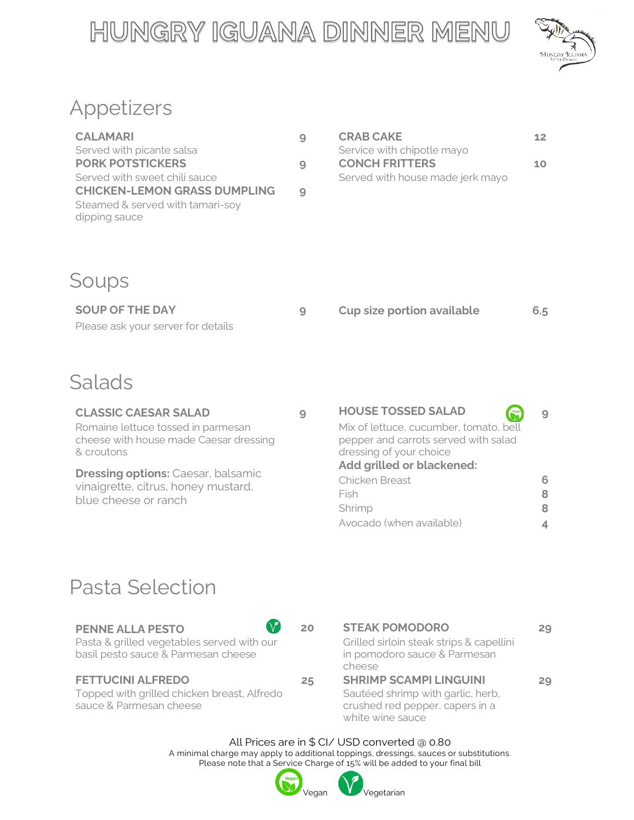# HUNGRY IGUANA DINNER MENU



## Appetizers

| <b>CALAMARI</b>                                   | 9 | <b>CRAB CAKE</b>                 | 12 |
|---------------------------------------------------|---|----------------------------------|----|
| Served with picante salsa                         |   | Service with chipotle mayo       |    |
| <b>PORK POTSTICKERS</b>                           | 9 | <b>CONCH FRITTERS</b>            | 10 |
| Served with sweet chili sauce                     |   | Served with house made jerk mayo |    |
| <b>CHICKEN-LEMON GRASS DUMPLING</b>               | 9 |                                  |    |
| Steamed & served with tamari-soy<br>dipping sauce |   |                                  |    |

| <b>CRAB CAKE</b>                 | 12 |
|----------------------------------|----|
| Service with chipotle mayo       |    |
| <b>CONCH FRITTERS</b>            | 10 |
| Served with house made jerk mayo |    |

### Soups

| SOUP OF THE DAY                    | Cup size portion available | 6.5 |
|------------------------------------|----------------------------|-----|
| Please ask your server for details |                            |     |

### Salads

Romaine lettuce tossed in parmesan cheese with house made Caesar dressing & croutons

**Dressing options: Caesar, balsamic** vinaigrette, citrus, honey mustard, blue cheese or ranch

### **CLASSIC CAESAR SALAD 9 HOUSE TOSSED SALAD 9** Mix of lettuce, cucumber, tomato, bell pepper and carrots served with salad dressing of your choice **Add grilled or blackened:** Chicken Breast **6** Fish **8** Shrimp **8** Avocado (when available) **4**

## Pasta Selection

### **PENNE ALLA PESTO 20 STEAK POMODORO 29**

Pasta & grilled vegetables served with our basil pesto sauce & Parmesan cheese

Topped with grilled chicken breast, Alfredo sauce & Parmesan cheese



Grilled sirloin steak strips & capellini in pomodoro sauce & Parmesan cheese

### **FETTUCINI ALFREDO 25 SHRIMP SCAMPI LINGUINI 29** Sautéed shrimp with garlic, herb, crushed red pepper, capers in a

white wine sauce

All Prices are in \$ CI/ USD converted @ 0.80 A minimal charge may apply to additional toppings, dressings, sauces or substitutions. Please note that a Service Charge of 15% will be added to your final bill



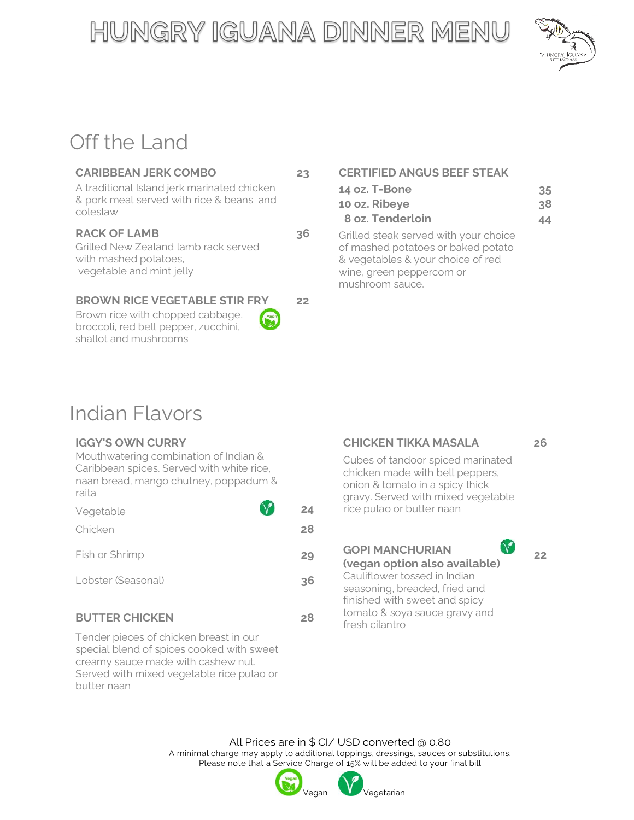# HUNGRY IGUANA DINNER MENU



## Off the Land

Grilled New Zealand lamb rack served with mashed potatoes, vegetable and mint jelly

### **BROWN RICE VEGETABLE STIR FRY 22**

Brown rice with chopped cabbage, broccoli, red bell pepper, zucchini, shallot and mushrooms

**CARIBBEAN JERK COMBO 23 CERTIFIED ANGUS BEEF STEAK**

| A traditional Island jerk marinated chicken |    | 14 oz. T-Bone                         | 35 |
|---------------------------------------------|----|---------------------------------------|----|
| & pork meal served with rice & beans and    |    | 10 oz. Ribeye                         | 38 |
| coleslaw                                    |    | 8 oz. Tenderloin                      | 44 |
| <b>RACK OF LAMB</b>                         | 36 | Grilled steak served with your choice |    |

of mashed potatoes or baked potato & vegetables & your choice of red wine, green peppercorn or mushroom sauce.

## Indian Flavors

Mouthwatering combination of Indian & Caribbean spices. Served with white rice, naan bread, mango chutney, poppadum & raita

| Vegetable          | 24 |
|--------------------|----|
| Chicken            | 28 |
| Fish or Shrimp     | 29 |
| Lobster (Seasonal) | 36 |
|                    |    |

### **BUTTER CHICKEN** 28 **DITTER CHICKEN** 28 **POTTER**

Tender pieces of chicken breast in our special blend of spices cooked with sweet creamy sauce made with cashew nut. Served with mixed vegetable rice pulao or butter naan

### **IGGY'S OWN CURRY CHICKEN TIKKA MASALA 26**

**22**

Cubes of tandoor spiced marinated chicken made with bell peppers, onion & tomato in a spicy thick gravy. Served with mixed vegetable **4** rice pulao or butter naan

 $\bigvee$ Fish or Shrimp **29 GOPI MANCHURIAN (vegan option also available) 6** Cauliflower tossed in Indian seasoning, breaded, fried and finished with sweet and spicy tomato & soya sauce gravy and

All Prices are in \$ CI/ USD converted @ 0.80 A minimal charge may apply to additional toppings, dressings, sauces or substitutions. Please note that a Service Charge of 15% will be added to your final bill

/egetarian